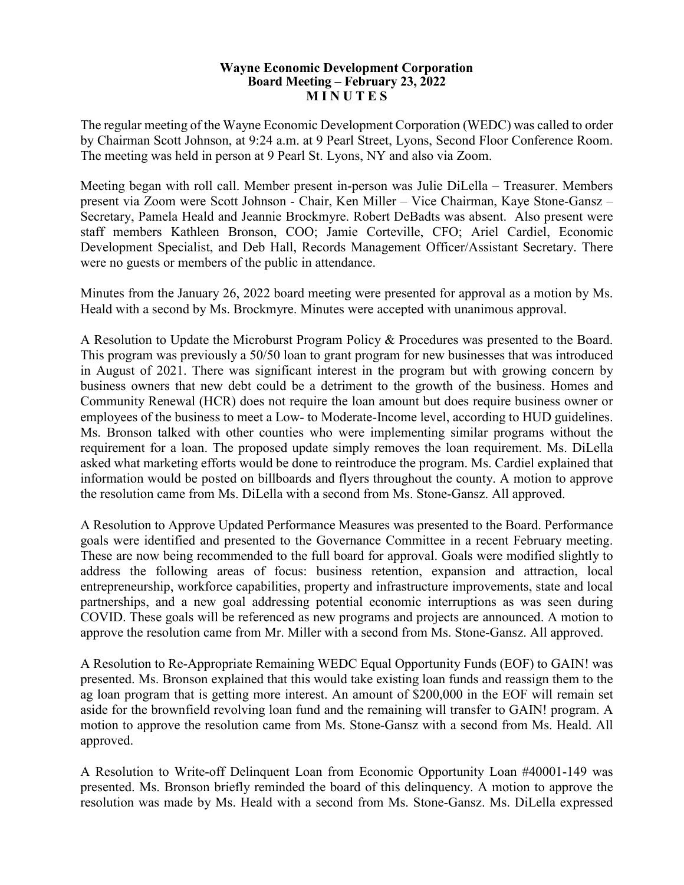## **Wayne Economic Development Corporation Board Meeting – February 23, 2022 M I N U T E S**

The regular meeting of the Wayne Economic Development Corporation (WEDC) was called to order by Chairman Scott Johnson, at 9:24 a.m. at 9 Pearl Street, Lyons, Second Floor Conference Room. The meeting was held in person at 9 Pearl St. Lyons, NY and also via Zoom.

Meeting began with roll call. Member present in-person was Julie DiLella – Treasurer. Members present via Zoom were Scott Johnson - Chair, Ken Miller – Vice Chairman, Kaye Stone-Gansz – Secretary, Pamela Heald and Jeannie Brockmyre. Robert DeBadts was absent. Also present were staff members Kathleen Bronson, COO; Jamie Corteville, CFO; Ariel Cardiel, Economic Development Specialist, and Deb Hall, Records Management Officer/Assistant Secretary. There were no guests or members of the public in attendance.

Minutes from the January 26, 2022 board meeting were presented for approval as a motion by Ms. Heald with a second by Ms. Brockmyre. Minutes were accepted with unanimous approval.

A Resolution to Update the Microburst Program Policy & Procedures was presented to the Board. This program was previously a 50/50 loan to grant program for new businesses that was introduced in August of 2021. There was significant interest in the program but with growing concern by business owners that new debt could be a detriment to the growth of the business. Homes and Community Renewal (HCR) does not require the loan amount but does require business owner or employees of the business to meet a Low- to Moderate-Income level, according to HUD guidelines. Ms. Bronson talked with other counties who were implementing similar programs without the requirement for a loan. The proposed update simply removes the loan requirement. Ms. DiLella asked what marketing efforts would be done to reintroduce the program. Ms. Cardiel explained that information would be posted on billboards and flyers throughout the county. A motion to approve the resolution came from Ms. DiLella with a second from Ms. Stone-Gansz. All approved.

A Resolution to Approve Updated Performance Measures was presented to the Board. Performance goals were identified and presented to the Governance Committee in a recent February meeting. These are now being recommended to the full board for approval. Goals were modified slightly to address the following areas of focus: business retention, expansion and attraction, local entrepreneurship, workforce capabilities, property and infrastructure improvements, state and local partnerships, and a new goal addressing potential economic interruptions as was seen during COVID. These goals will be referenced as new programs and projects are announced. A motion to approve the resolution came from Mr. Miller with a second from Ms. Stone-Gansz. All approved.

A Resolution to Re-Appropriate Remaining WEDC Equal Opportunity Funds (EOF) to GAIN! was presented. Ms. Bronson explained that this would take existing loan funds and reassign them to the ag loan program that is getting more interest. An amount of \$200,000 in the EOF will remain set aside for the brownfield revolving loan fund and the remaining will transfer to GAIN! program. A motion to approve the resolution came from Ms. Stone-Gansz with a second from Ms. Heald. All approved.

A Resolution to Write-off Delinquent Loan from Economic Opportunity Loan #40001-149 was presented. Ms. Bronson briefly reminded the board of this delinquency. A motion to approve the resolution was made by Ms. Heald with a second from Ms. Stone-Gansz. Ms. DiLella expressed